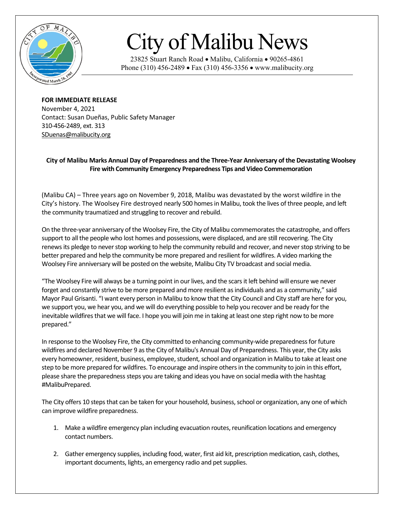

## City of Malibu News

23825 Stuart Ranch Road • Malibu, California • 90265-4861 Phone (310) 456-2489 • Fax (310) 456-3356 • www.malibucity.org

**FOR IMMEDIATE RELEASE** November 4, 2021 Contact: Susan Dueñas, Public Safety Manager 310-456-2489, ext. 313 [SDuenas@malibucity.org](mailto:SDuenas@malibucity.org)

## **City of Malibu Marks Annual Day of Preparedness and the Three-Year Anniversary of the Devastating Woolsey Fire with Community Emergency Preparedness Tips and Video Commemoration**

(Malibu CA) – Three years ago on November 9, 2018, Malibu was devastated by the worst wildfire in the City's history. The Woolsey Fire destroyed nearly 500 homesin Malibu, took the lives of three people, and left the community traumatized and struggling to recover and rebuild.

On the three-year anniversary of the Woolsey Fire, the City of Malibu commemoratesthe catastrophe, and offers support to all the people who lost homes and possessions, were displaced, and are still recovering. The City renews its pledge to never stop working to help the community rebuild and recover, and never stop striving to be better prepared and help the community be more prepared and resilient for wildfires. A video marking the Woolsey Fire anniversary will be posted on the website, Malibu City TV broadcast and social media.

"The Woolsey Fire will always be a turning point in our lives, and the scars it left behind will ensure we never forget and constantly strive to be more prepared and more resilient as individuals and as a community," said Mayor Paul Grisanti. "I want every person in Malibu to know that the City Council and City staff are here for you, we support you, we hear you, and we will do everything possible to help you recover and be ready for the inevitable wildfires that we will face. I hope you will join me in taking at least one step right now to be more prepared."

In response to the Woolsey Fire, the City committed to enhancing community-wide preparedness for future wildfires and declared November 9 as the City of Malibu's Annual Day of Preparedness. This year, the City asks every homeowner, resident, business, employee, student, school and organization in Malibu to take at least one step to be more prepared for wildfires. To encourage and inspire others in the community to join in this effort, please share the preparedness steps you are taking and ideas you have on social media with the hashtag #MalibuPrepared.

The City offers 10 steps that can be taken for your household, business, school or organization, any one of which can improve wildfire preparedness.

- 1. Make a wildfire emergency plan including evacuation routes, reunification locations and emergency contact numbers.
- 2. Gather emergency supplies, including food, water, first aid kit, prescription medication, cash, clothes, important documents, lights, an emergency radio and pet supplies.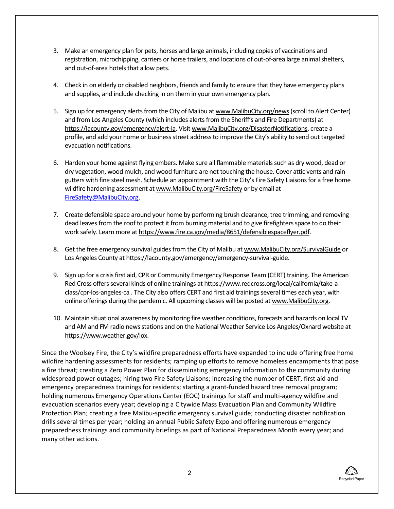- 3. Make an emergency plan for pets, horses and large animals, including copies of vaccinations and registration, microchipping, carriers or horse trailers, and locations of out-of-area large animal shelters, and out-of-area hotels that allow pets.
- 4. Check in on elderly or disabled neighbors, friends and family to ensure that they have emergency plans and supplies, and include checking in on them in your own emergency plan.
- 5. Sign up for emergency alerts from the City of Malibu a[t www.MalibuCity.org/news\(](http://www.malibucity.org/news)scroll to Alert Center) and from Los Angeles County (which includes alerts from the Sheriff's and Fire Departments) at [https://lacounty.gov/emergency/alert-la.](https://lacounty.gov/emergency/alert-la) Visi[t www.MalibuCity.org/DisasterNotifications,](http://www.malibucity.org/DisasterNotifications) create a profile, and add your home or business street addressto improve the City's ability to send out targeted evacuation notifications.
- 6. Harden your home against flying embers. Make sure all flammable materials such as dry wood, dead or dry vegetation, wood mulch, and wood furniture are not touching the house. Cover attic vents and rain gutters with fine steel mesh. Schedule an appointment with the City's Fire Safety Liaisons for a free home wildfire hardening assessment a[t www.MalibuCity.org/FireSafety](http://www.malibucity.org/FireSafety) or by email at [FireSafety@MalibuCity.org.](mailto:FireSafety@MalibuCity.org)
- 7. Create defensible space around your home by performing brush clearance, tree trimming, and removing dead leaves from the roof to protect it from burning material and to give firefighters space to do their work safely. Learn more a[t https://www.fire.ca.gov/media/8651/defensiblespaceflyer.pdf.](https://www.fire.ca.gov/media/8651/defensiblespaceflyer.pdf)
- 8. Get the free emergency survival guides from the City of Malibu a[t www.MalibuCity.org/SurvivalGuide](http://www.malibucity.org/SurvivalGuide) or Los Angeles County a[t https://lacounty.gov/emergency/emergency-survival-guide.](https://lacounty.gov/emergency/emergency-survival-guide)
- 9. Sign up for a crisis first aid, CPR or Community Emergency Response Team (CERT) training. The American Red Cross offers several kinds of online trainings at https://www.redcross.org/local/california/take-aclass/cpr-los-angeles-ca . The City also offers CERT and first aid trainings several times each year, with online offerings during the pandemic. All upcoming classes will be posted a[t www.MalibuCity.org.](http://www.malibucity.org/)
- 10. Maintain situational awareness by monitoring fire weather conditions, forecasts and hazards on local TV and AM and FM radio news stations and on the National Weather Service Los Angeles/Oxnard website at [https://www.weather.gov/lox.](https://www.weather.gov/lox)

Since the Woolsey Fire, the City's wildfire preparedness efforts have expanded to include offering free home wildfire hardening assessments for residents; ramping up efforts to remove homeless encampments that pose a fire threat; creating a Zero Power Plan for disseminating emergency information to the community during widespread power outages; hiring two Fire Safety Liaisons; increasing the number of CERT, first aid and emergency preparedness trainings for residents; starting a grant-funded hazard tree removal program; holding numerous Emergency Operations Center (EOC) trainings for staff and multi-agency wildfire and evacuation scenarios every year; developing a Citywide Mass Evacuation Plan and Community Wildfire Protection Plan; creating a free Malibu-specific emergency survival guide; conducting disaster notification drills several times per year; holding an annual Public Safety Expo and offering numerous emergency preparedness trainings and community briefings as part of National Preparedness Month every year; and many other actions.